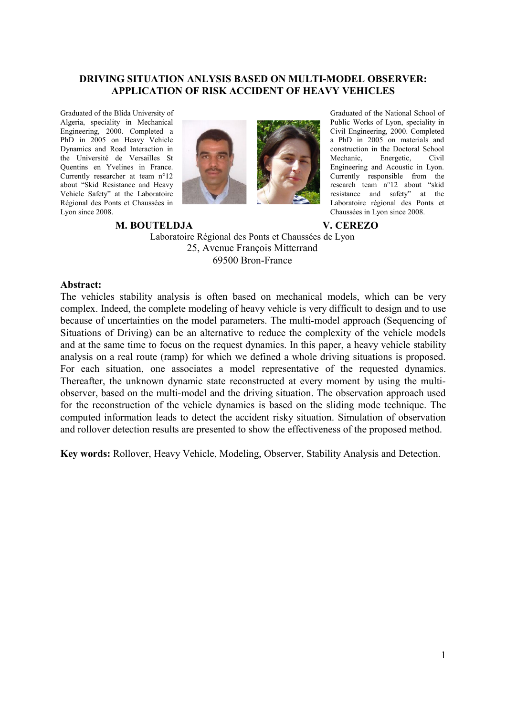## **DRIVING SITUATION ANLYSIS BASED ON MULTI-MODEL OBSERVER: APPLICATION OF RISK ACCIDENT OF HEAVY VEHICLES**

Graduated of the Blida University of Algeria, speciality in Mechanical Engineering, 2000. Completed a PhD in 2005 on Heavy Vehicle Dynamics and Road Interaction in the Université de Versailles St Quentins en Yvelines in France. Currently researcher at team n°12 about "Skid Resistance and Heavy Vehicle Safety" at the Laboratoire Régional des Ponts et Chaussées in Lyon since 2008.



Graduated of the National School of Public Works of Lyon, speciality in Civil Engineering, 2000. Completed a PhD in 2005 on materials and construction in the Doctoral School Mechanic, Energetic, Civil Engineering and Acoustic in Lyon. Currently responsible from the research team n°12 about "skid resistance and safety" at the Laboratoire régional des Ponts et Chaussées in Lyon since 2008.

#### **M. BOUTELDJA V. CEREZO**

Laboratoire Régional des Ponts et Chaussées de Lyon 25, Avenue François Mitterrand 69500 Bron-France

#### **Abstract:**

The vehicles stability analysis is often based on mechanical models, which can be very complex. Indeed, the complete modeling of heavy vehicle is very difficult to design and to use because of uncertainties on the model parameters. The multi-model approach (Sequencing of Situations of Driving) can be an alternative to reduce the complexity of the vehicle models and at the same time to focus on the request dynamics. In this paper, a heavy vehicle stability analysis on a real route (ramp) for which we defined a whole driving situations is proposed. For each situation, one associates a model representative of the requested dynamics. Thereafter, the unknown dynamic state reconstructed at every moment by using the multiobserver, based on the multi-model and the driving situation. The observation approach used for the reconstruction of the vehicle dynamics is based on the sliding mode technique. The computed information leads to detect the accident risky situation. Simulation of observation and rollover detection results are presented to show the effectiveness of the proposed method.

**Key words:** Rollover, Heavy Vehicle, Modeling, Observer, Stability Analysis and Detection.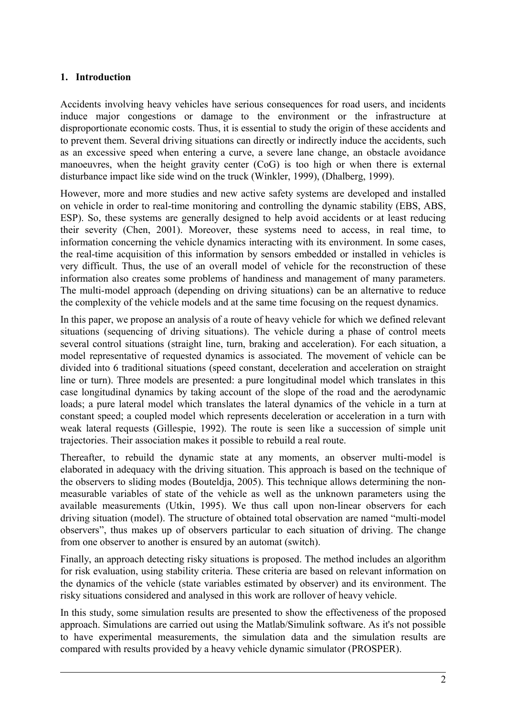# **1. Introduction**

Accidents involving heavy vehicles have serious consequences for road users, and incidents induce major congestions or damage to the environment or the infrastructure at disproportionate economic costs. Thus, it is essential to study the origin of these accidents and to prevent them. Several driving situations can directly or indirectly induce the accidents, such as an excessive speed when entering a curve, a severe lane change, an obstacle avoidance manoeuvres, when the height gravity center (CoG) is too high or when there is external disturbance impact like side wind on the truck (Winkler, 1999), (Dhalberg, 1999).

However, more and more studies and new active safety systems are developed and installed on vehicle in order to real-time monitoring and controlling the dynamic stability (EBS, ABS, ESP). So, these systems are generally designed to help avoid accidents or at least reducing their severity (Chen, 2001). Moreover, these systems need to access, in real time, to information concerning the vehicle dynamics interacting with its environment. In some cases, the real-time acquisition of this information by sensors embedded or installed in vehicles is very difficult. Thus, the use of an overall model of vehicle for the reconstruction of these information also creates some problems of handiness and management of many parameters. The multi-model approach (depending on driving situations) can be an alternative to reduce the complexity of the vehicle models and at the same time focusing on the request dynamics.

In this paper, we propose an analysis of a route of heavy vehicle for which we defined relevant situations (sequencing of driving situations). The vehicle during a phase of control meets several control situations (straight line, turn, braking and acceleration). For each situation, a model representative of requested dynamics is associated. The movement of vehicle can be divided into 6 traditional situations (speed constant, deceleration and acceleration on straight line or turn). Three models are presented: a pure longitudinal model which translates in this case longitudinal dynamics by taking account of the slope of the road and the aerodynamic loads; a pure lateral model which translates the lateral dynamics of the vehicle in a turn at constant speed; a coupled model which represents deceleration or acceleration in a turn with weak lateral requests (Gillespie, 1992). The route is seen like a succession of simple unit trajectories. Their association makes it possible to rebuild a real route.

Thereafter, to rebuild the dynamic state at any moments, an observer multi-model is elaborated in adequacy with the driving situation. This approach is based on the technique of the observers to sliding modes (Bouteldja, 2005). This technique allows determining the nonmeasurable variables of state of the vehicle as well as the unknown parameters using the available measurements (Utkin, 1995). We thus call upon non-linear observers for each driving situation (model). The structure of obtained total observation are named "multi-model observers", thus makes up of observers particular to each situation of driving. The change from one observer to another is ensured by an automat (switch).

Finally, an approach detecting risky situations is proposed. The method includes an algorithm for risk evaluation, using stability criteria. These criteria are based on relevant information on the dynamics of the vehicle (state variables estimated by observer) and its environment. The risky situations considered and analysed in this work are rollover of heavy vehicle.

In this study, some simulation results are presented to show the effectiveness of the proposed approach. Simulations are carried out using the Matlab/Simulink software. As it's not possible to have experimental measurements, the simulation data and the simulation results are compared with results provided by a heavy vehicle dynamic simulator (PROSPER).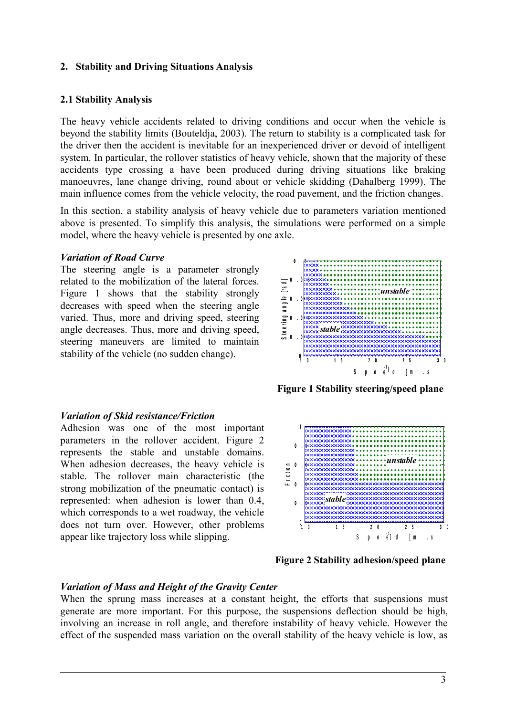## **2. Stability and Driving Situations Analysis**

### **2.1 Stability Analysis**

The heavy vehicle accidents related to driving conditions and occur when the vehicle is beyond the stability limits (Bouteldja, 2003). The return to stability is a complicated task for the driver then the accident is inevitable for an inexperienced driver or devoid of intelligent system. In particular, the rollover statistics of heavy vehicle, shown that the majority of these accidents type crossing a have been produced during driving situations like braking manoeuvres, lane change driving, round about or vehicle skidding (Dahalberg 1999). The main influence comes from the vehicle velocity, the road pavement, and the friction changes.

In this section, a stability analysis of heavy vehicle due to parameters variation mentioned above is presented. To simplify this analysis, the simulations were performed on a simple model, where the heavy vehicle is presented by one axle.

#### *Variation of Road Curve*

The steering angle is a parameter strongly related to the mobilization of the lateral forces. Figure 1 shows that the stability strongly decreases with speed when the steering angle varied. Thus, more and driving speed, steering angle decreases. Thus, more and driving speed, steering maneuvers are limited to maintain stability of the vehicle (no sudden change).



**Figure 1 Stability steering/speed plane**

#### *Variation of Skid resistance/Friction*

Adhesion was one of the most important parameters in the rollover accident. Figure 2 represents the stable and unstable domains. When adhesion decreases, the heavy vehicle is stable. The rollover main characteristic (the strong mobilization of the pneumatic contact) is represented: when adhesion is lower than 0.4, which corresponds to a wet roadway, the vehicle does not turn over. However, other problems appear like trajectory loss while slipping.



**Figure 2 Stability adhesion/speed plane**

# *Variation of Mass and Height of the Gravity Center*

When the sprung mass increases at a constant height, the efforts that suspensions must generate are more important. For this purpose, the suspensions deflection should be high, involving an increase in roll angle, and therefore instability of heavy vehicle. However the effect of the suspended mass variation on the overall stability of the heavy vehicle is low, as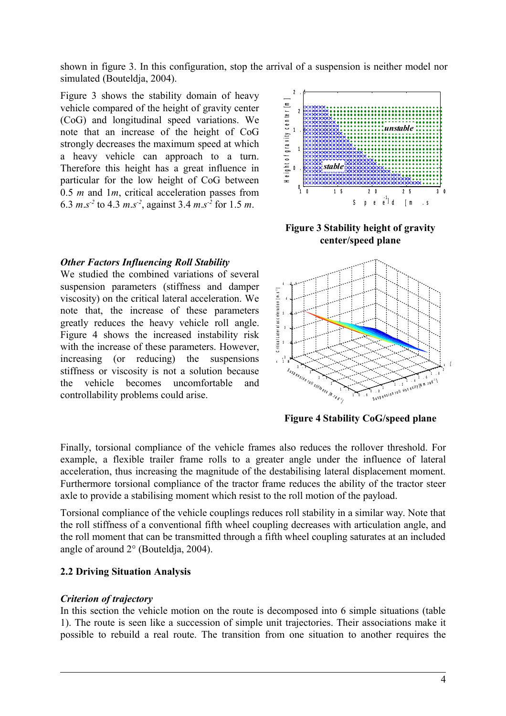shown in figure 3. In this configuration, stop the arrival of a suspension is neither model nor simulated (Bouteldja, 2004).

Figure 3 shows the stability domain of heavy vehicle compared of the height of gravity center (CoG) and longitudinal speed variations. We note that an increase of the height of CoG strongly decreases the maximum speed at which a heavy vehicle can approach to a turn. Therefore this height has a great influence in particular for the low height of CoG between 0.5 *m* and 1*m*, critical acceleration passes from 6.3  $m.s^{-2}$  to 4.3  $m.s^{-2}$ , against 3.4  $m.s^{-2}$  for 1.5  $m$ .

## *Other Factors Influencing Roll Stability*

We studied the combined variations of several suspension parameters (stiffness and damper viscosity) on the critical lateral acceleration. We note that, the increase of these parameters greatly reduces the heavy vehicle roll angle. Figure 4 shows the increased instability risk with the increase of these parameters. However, increasing (or reducing) the suspensions stiffness or viscosity is not a solution because the vehicle becomes uncomfortable and controllability problems could arise.



**Figure 3 Stability height of gravity center/speed plane**



**Figure 4 Stability CoG/speed plane**

Finally, torsional compliance of the vehicle frames also reduces the rollover threshold. For example, a flexible trailer frame rolls to a greater angle under the influence of lateral acceleration, thus increasing the magnitude of the destabilising lateral displacement moment. Furthermore torsional compliance of the tractor frame reduces the ability of the tractor steer axle to provide a stabilising moment which resist to the roll motion of the payload.

Torsional compliance of the vehicle couplings reduces roll stability in a similar way. Note that the roll stiffness of a conventional fifth wheel coupling decreases with articulation angle, and the roll moment that can be transmitted through a fifth wheel coupling saturates at an included angle of around 2° (Bouteldja, 2004).

# **2.2 Driving Situation Analysis**

#### *Criterion of trajectory*

In this section the vehicle motion on the route is decomposed into 6 simple situations (table 1). The route is seen like a succession of simple unit trajectories. Their associations make it possible to rebuild a real route. The transition from one situation to another requires the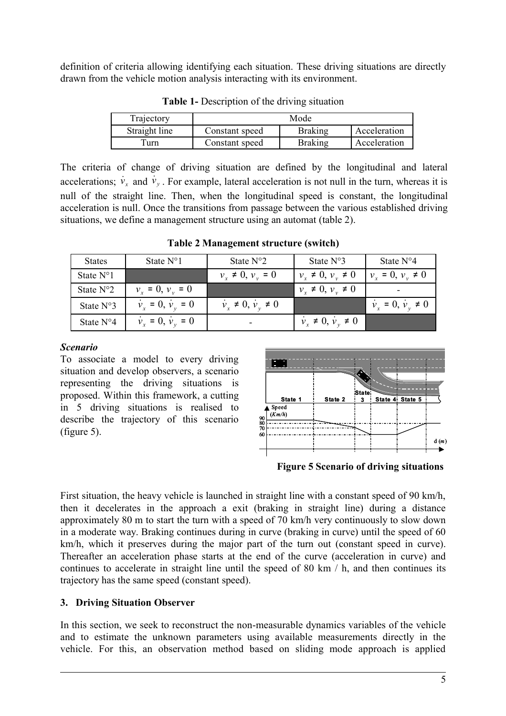definition of criteria allowing identifying each situation. These driving situations are directly drawn from the vehicle motion analysis interacting with its environment.

| Trajectory    | Mode           |                |              |
|---------------|----------------|----------------|--------------|
| Straight line | Constant speed | <b>Braking</b> | Acceleration |
| Furn          | Constant speed | <b>Braking</b> | Acceleration |

**Table 1-** Description of the driving situation

The criteria of change of driving situation are defined by the longitudinal and lateral accelerations;  $\dot{v}_x$  and  $\dot{v}_y$ . For example, lateral acceleration is not null in the turn, whereas it is null of the straight line. Then, when the longitudinal speed is constant, the longitudinal acceleration is null. Once the transitions from passage between the various established driving situations, we define a management structure using an automat (table 2).

States | State N°1 | State N°2 | State N°3 | State N°4 State N°1  $v_x \neq 0$ ,  $v_y = 0$   $\psi_y$  $v_x \neq 0, v_y \neq 0$   $\psi$  $v_x = 0, v_y \neq 0$ State N°2  $\hat{v}_x = 0, \, \hat{v}_y = 0$  **y**  $\hat{v}_y = 0$  $v_x \neq 0, v_y \neq 0$  -State N°3  $\dot{v}_x = 0, \dot{v}_y = 0 \quad | \dot{v}_y$  $\dot{x} \neq 0$ ,  $\dot{v}_y \neq 0$  **d**  $\dot{v}_y$  $\dot{v}_x = 0, \dot{v}_y$ *<sup>y</sup>* <sup>≠</sup> 0 State N°4  $\hat{v}_y = 0$  | *v*  $\dot{x} \neq 0$ ,  $\dot{v}_y \neq 0$ 

**Table 2 Management structure (switch)**

# *Scenario*

To associate a model to every driving situation and develop observers, a scenario representing the driving situations is proposed. Within this framework, a cutting in 5 driving situations is realised to describe the trajectory of this scenario (figure 5).



**Figure 5 Scenario of driving situations**

First situation, the heavy vehicle is launched in straight line with a constant speed of 90 km/h, then it decelerates in the approach a exit (braking in straight line) during a distance approximately 80 m to start the turn with a speed of 70 km/h very continuously to slow down in a moderate way. Braking continues during in curve (braking in curve) until the speed of 60 km/h, which it preserves during the major part of the turn out (constant speed in curve). Thereafter an acceleration phase starts at the end of the curve (acceleration in curve) and continues to accelerate in straight line until the speed of 80 km / h, and then continues its trajectory has the same speed (constant speed).

# **3. Driving Situation Observer**

In this section, we seek to reconstruct the non-measurable dynamics variables of the vehicle and to estimate the unknown parameters using available measurements directly in the vehicle. For this, an observation method based on sliding mode approach is applied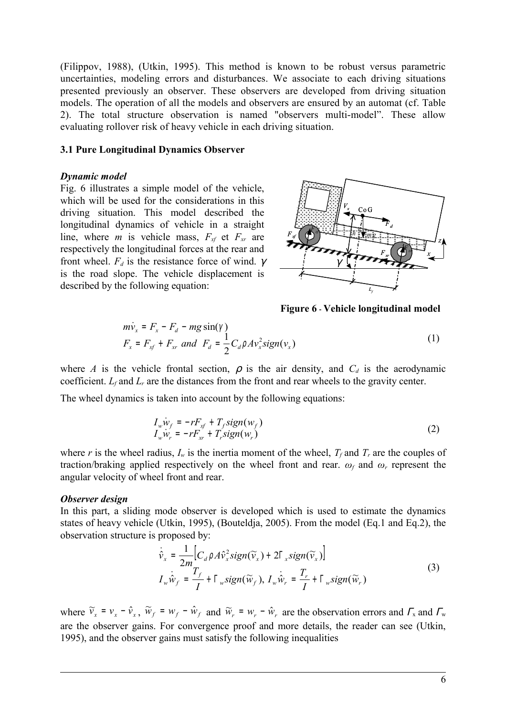(Filippov, 1988), (Utkin, 1995). This method is known to be robust versus parametric uncertainties, modeling errors and disturbances. We associate to each driving situations presented previously an observer. These observers are developed from driving situation models. The operation of all the models and observers are ensured by an automat (cf. Table 2). The total structure observation is named "observers multi-model". These allow evaluating rollover risk of heavy vehicle in each driving situation.

#### **3.1 Pure Longitudinal Dynamics Observer**

#### *Dynamic model*

Fig. 6 illustrates a simple model of the vehicle, which will be used for the considerations in this driving situation. This model described the longitudinal dynamics of vehicle in a straight line, where *m* is vehicle mass,  $F_{xf}$  et  $F_{xr}$  are respectively the longitudinal forces at the rear and front wheel.  $F_d$  is the resistance force of wind.  $\gamma$ is the road slope. The vehicle displacement is described by the following equation:



**Figure 6 - Vehicle longitudinal model**

$$
m\dot{v}_x = F_x - F_d - mg\sin(\gamma)
$$
  
\n
$$
F_x = F_{xf} + F_{xr} \text{ and } F_d = \frac{1}{2}C_d\rho Av_x^2 sign(v_x)
$$
\n(1)

where *A* is the vehicle frontal section,  $\rho$  is the air density, and  $C_d$  is the aerodynamic coefficient. *Lf* and *Lr* are the distances from the front and rear wheels to the gravity center.

The wheel dynamics is taken into account by the following equations:

$$
I_w \dot{w}_f = -rF_{xf} + T_f sign(w_f)
$$
  
\n
$$
I_w \dot{w}_r = -rF_{xr} + T_r sign(w_r)
$$
\n(2)

where *r* is the wheel radius,  $I_w$  is the inertia moment of the wheel,  $T_f$  and  $T_f$  are the couples of traction/braking applied respectively on the wheel front and rear.  $\omega_f$  and  $\omega_r$  represent the angular velocity of wheel front and rear.

#### *Observer design*

In this part, a sliding mode observer is developed which is used to estimate the dynamics states of heavy vehicle (Utkin, 1995), (Bouteldja, 2005). From the model (Eq.1 and Eq.2), the observation structure is proposed by:

$$
\begin{cases}\n\dot{\hat{\mathbf{v}}}_x = \frac{1}{2m} \Big[ C_d \rho A \hat{\mathbf{v}}_x^2 sign(\widetilde{\mathbf{v}}_x) + 2\Gamma_x sign(\widetilde{\mathbf{v}}_x) \Big] \\
I_w \dot{\hat{\mathbf{w}}}_f = \frac{T_f}{I} + \Gamma_w sign(\widetilde{\mathbf{w}}_f), I_w \dot{\hat{\mathbf{w}}}_r = \frac{T_r}{I} + \Gamma_w sign(\widetilde{\mathbf{w}}_r)\n\end{cases}
$$
\n(3)

where  $\tilde{v}_x = v_x - \hat{v}_x$ ,  $\tilde{w}_f = w_f - \hat{w}_f$  and  $\tilde{w}_r = w_r - \hat{w}_r$  are the observation errors and  $\Gamma_x$  and  $\Gamma_y$ are the observer gains. For convergence proof and more details, the reader can see (Utkin, 1995), and the observer gains must satisfy the following inequalities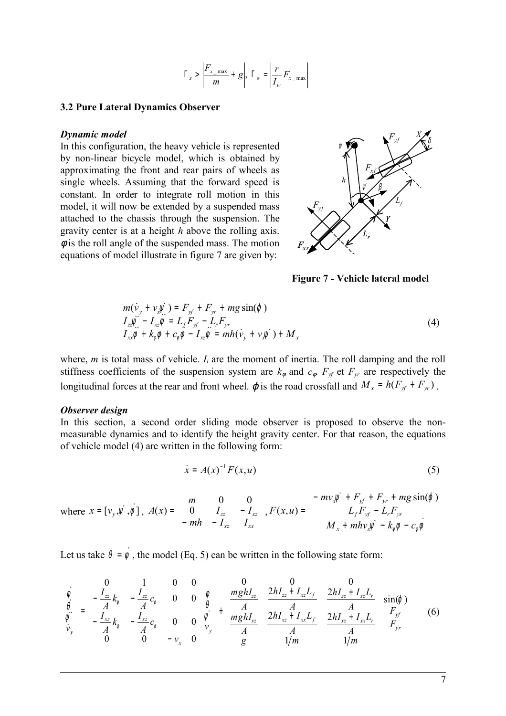$$
\Gamma_x > \left| \frac{F_{x_{\text{max}}}}{m} + g \right|, \ \Gamma_w = \left| \frac{r}{I_w} F_{x_{\text{max}}} \right|
$$

### **3.2 Pure Lateral Dynamics Observer**

#### *Dynamic model*

In this configuration, the heavy vehicle is represented by non-linear bicycle model, which is obtained by approximating the front and rear pairs of wheels as single wheels. Assuming that the forward speed is constant. In order to integrate roll motion in this model, it will now be extended by a suspended mass attached to the chassis through the suspension. The gravity center is at a height *h* above the rolling axis.  $\phi$  is the roll angle of the suspended mass. The motion equations of model illustrate in figure 7 are given by:



**Figure 7 - Vehicle lateral model**

$$
m(\dot{v}_y + v_x \dot{w}_x) = F_{yf} + F_{yr} + mg \sin(\varphi)
$$
  
\n
$$
I_{zz} \dot{w}_x - I_{xz} \dot{\varphi} = L_f F_{yf} - L_r F_{yr}
$$
  
\n
$$
I_{xx} \dot{\varphi} + k_{\varphi} \dot{\varphi} + c_{\varphi} \dot{\varphi} - I_{xz} \dot{\varphi} = mh(\dot{v}_y + v_x \dot{\psi}) + M_x
$$
\n(4)

where,  *is total mass of vehicle.*  $I_i$  *are the moment of inertia. The roll damping and the roll* stiffness coefficients of the suspension system are  $k_{\phi}$  and  $c_{\phi}$ .  $F_{\gamma f}$  et  $F_{\gamma r}$  are respectively the longitudinal forces at the rear and front wheel.  $\varphi$  is the road crossfall and  $M_x = h(F_{xf} + F_{yr})$ .

## *Observer design*

In this section, a second order sliding mode observer is proposed to observe the nonmeasurable dynamics and to identify the height gravity center. For that reason, the equations of vehicle model (4) are written in the following form:

$$
\dot{x} = A(x)^{-1} F(x, u) \tag{5}
$$

where 
$$
x = [v_y, \dot{y}, \dot{\phi}]
$$
,  $A(x) = \begin{bmatrix} m & 0 & 0 \\ 0 & I_{zz} & -I_{xz} \\ -mh & -I_{xz} & I_{xx} \end{bmatrix}$ ,  $F(x, u) = \begin{bmatrix} -mv_x \dot{y} + F_{yt} + F_{yr} + mg \sin(\phi) \\ L_f F_{yt} - L_r F_{yt} \\ M_x + mh v_x \dot{y} - k_\phi \dot{\phi} - c_\phi \dot{\phi} \end{bmatrix}$ 

Let us take  $\theta = \dot{\phi}$ , the model (Eq. 5) can be written in the following state form:

$$
\begin{bmatrix} \dot{\phi} \\ \dot{\theta} \\ \dot{\psi} \\ \dot{\psi}_y \end{bmatrix} = \begin{bmatrix} 0 & 1 & 0 & 0 \\ -\frac{I_{zz}}{A}k_{\phi} & -\frac{I_{zz}}{A}c_{\phi} & 0 & 0 \\ -\frac{I_{xz}}{A}k_{\phi} & -\frac{I_{xz}}{A}c_{\phi} & 0 & 0 \\ 0 & 0 & 0 & -v_x & 0 \end{bmatrix} \begin{bmatrix} \phi \\ \theta \\ \psi \\ \psi_y \end{bmatrix} + \begin{bmatrix} 0 & 0 & 0 \\ \frac{mghI_{zz}}{A} & \frac{2hI_{zz} + I_{xz}L_f}{A} & \frac{2hI_{zz} + I_{xz}L_r}{A} \\ \frac{mghI_{xz}}{A} & \frac{2hI_{xz} + I_{xx}L_f}{A} & \frac{2hI_{xz} + I_{xx}L_r}{A} \end{bmatrix} \begin{bmatrix} \sin(\phi) \\ F_{yf} \\ F_{yr} \end{bmatrix}
$$
(6)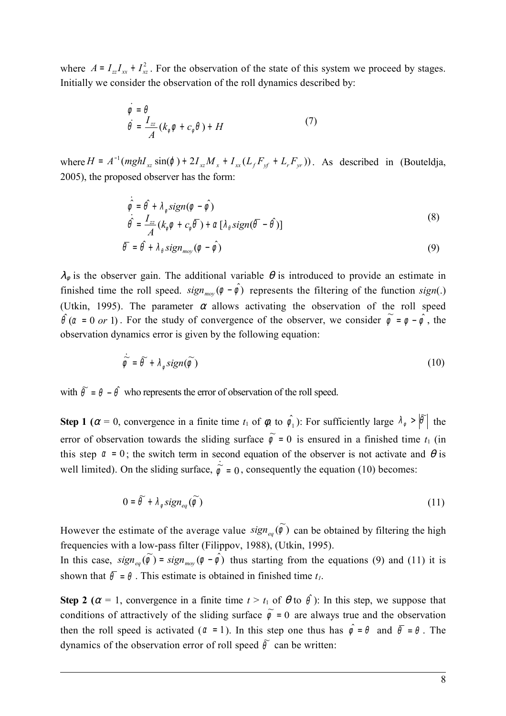where  $A = I_{zz}I_{xx} + I_{xz}^2$ . For the observation of the state of this system we proceed by stages. Initially we consider the observation of the roll dynamics described by:

$$
\begin{cases}\n\dot{\phi} = \theta \\
\dot{\theta} = \frac{I_{zz}}{A}(k_{\phi}\phi + c_{\phi}\theta) + H\n\end{cases}
$$
\n(7)

where  $H = A^{-1}(mghI_{xz} \sin(\varphi) + 2I_{xz}M_x + I_{xx}(L_fF_{xf} + L_rF_{yr}))$ . As described in (Bouteldja, 2005), the proposed observer has the form:

$$
\begin{cases}\n\dot{\hat{\phi}} = \hat{\theta} + \lambda_{\phi} sign(\phi - \hat{\phi}) \\
\dot{\hat{\theta}} = \frac{I_{zz}}{A} (k_{\phi} \phi + c_{\phi} \overline{\theta}) + \alpha [\lambda_{\phi} sign(\overline{\theta} - \hat{\theta})] \\
\overline{\theta} = \hat{\theta} + \lambda_{\phi} sign(\phi - \hat{\phi})\n\end{cases}
$$
\n(8)

 $\lambda_{\phi}$  is the observer gain. The additional variable  $\theta$  is introduced to provide an estimate in finished time the roll speed.  $sign_{mov}(\phi - \hat{\phi})$  represents the filtering of the function  $sign(.)$ (Utkin, 1995). The parameter  $\alpha$  allows activating the observation of the roll speed  $\hat{\theta}$  ( $\alpha = 0$  or 1). For the study of convergence of the observer, we consider  $\hat{\phi} = \phi - \hat{\phi}$ , the observation dynamics error is given by the following equation:

$$
\dot{\tilde{\phi}} = \tilde{\theta} + \lambda_{\phi} sign(\tilde{\phi})
$$
\n(10)

with  $\tilde{\theta} = \theta - \hat{\theta}$  who represents the error of observation of the roll speed.

**Step 1** ( $\alpha = 0$ , convergence in a finite time  $t_1$  of  $\phi_1$  to  $\hat{\phi_1}$ ): For sufficiently large  $\lambda_{\phi} > |\tilde{\theta}|$  $> |\theta|$  the error of observation towards the sliding surface  $\tilde{\phi} = 0$  is ensured in a finished time  $t_1$  (in this step  $\alpha = 0$ ; the switch term in second equation of the observer is not activate and  $\theta$  is well limited). On the sliding surface,  $\dot{\phi} = 0$ , consequently the equation (10) becomes:

$$
0 = \widetilde{\theta} + \lambda_{\phi} sign_{eq}(\widetilde{\phi})
$$
 (11)

However the estimate of the average value  $sign_{eq}(\tilde{\phi})$  can be obtained by filtering the high frequencies with a low-pass filter (Filippov, 1988), (Utkin, 1995). In this case,  $sign_{eq}(\tilde{\phi}) = sign_{moy}(\phi - \hat{\phi})$  thus starting from the equations (9) and (11) it is

shown that  $\bar{\theta} = \theta$ . This estimate is obtained in finished time  $t_i$ .

**Step 2** ( $\alpha = 1$ , convergence in a finite time  $t > t_1$  of  $\theta$  to  $\hat{\theta}$ ): In this step, we suppose that conditions of attractively of the sliding surface  $\tilde{\phi} = 0$  are always true and the observation then the roll speed is activated ( $\alpha = 1$ ). In this step one thus has  $\hat{\phi} = \theta$  and  $\bar{\theta} = \theta$ . The dynamics of the observation error of roll speed  $\tilde{\theta}$  can be written: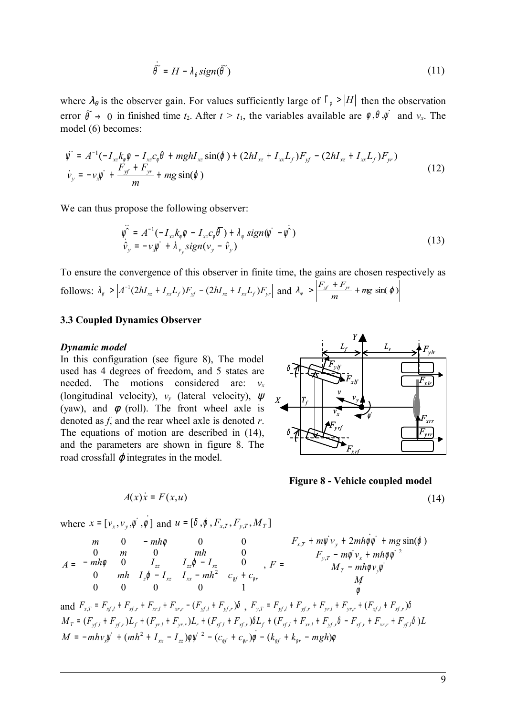$$
\dot{\tilde{\theta}} = H - \lambda_{\theta} sign(\tilde{\theta})
$$
\n(11)

where  $\lambda_{\theta}$  is the observer gain. For values sufficiently large of  $\Gamma_{\phi} > |H|$  then the observation error  $\widetilde{\theta} \to 0$  in finished time  $t_2$ . After  $t > t_1$ , the variables available are  $\phi$ ,  $\theta$ ,  $\psi$  and  $v_x$ . The model (6) becomes:

$$
\begin{cases}\n\ddot{\psi} = A^{-1}(-I_{xz}k_{\phi}\phi - I_{xz}c_{\phi}\theta + mghI_{xz}\sin(\phi) + (2hI_{xz} + I_{xx}L_{f})F_{yf} - (2hI_{xz} + I_{xx}L_{f})F_{yr}) \\
\dot{\nu}_{y} = -\nu_{x}\ddot{\psi} + \frac{F_{yf} + F_{yr}}{m} + mg\sin(\phi)\n\end{cases}
$$
\n(12)

We can thus propose the following observer:

$$
\ddot{\hat{\mathbf{v}}}_{y} = A^{-1}(-I_{xz}k_{\phi}\phi - I_{xz}c_{\phi}\overline{\theta}) + \lambda_{\psi} sign(\dot{\psi} - \dot{\psi})
$$
\n
$$
\dot{\hat{\mathbf{v}}}_{y} = -\nu_{x}\dot{\psi} + \lambda_{\nu_{y}} sign(\nu_{y} - \hat{\nu}_{y})
$$
\n(13)

To ensure the convergence of this observer in finite time, the gains are chosen respectively as follows:  $\lambda_{\psi} > \left| A^{-1} (2hI_{xz} + I_{xx}L_f) F_{yf} - (2hI_{xz} + I_{xx}L_f) F_{yr} \right|$  and  $\lambda_{\psi} > \left| \frac{F_{yf} + F_{yr}}{m} + mg \sin(\varphi) \right|$ 

## **3.3 Coupled Dynamics Observer**

#### *Dynamic model*

In this configuration (see figure 8), The model used has 4 degrees of freedom, and 5 states are needed. The motions considered are:  $v_x$ (longitudinal velocity),  $v_y$  (lateral velocity),  $\psi$ (yaw), and  $\phi$  (roll). The front wheel axle is denoted as *f*, and the rear wheel axle is denoted *r*. The equations of motion are described in (14), and the parameters are shown in figure 8. The road crossfall  $\varphi$  integrates in the model.

$$
\delta \left\{ \frac{E_f}{F_{yH}} \right\}
$$
\n
$$
\delta \left\{ \frac{F_{yH}}{\sum_{x} F_{yH}} \right\}
$$
\n
$$
\delta \left\{ \frac{F_{yH}}{\sum_{x} F_{yH}} \right\}
$$
\n
$$
\delta \left\{ \frac{F_{yH}}{\sum_{x} F_{yH}} \right\}
$$
\n
$$
\delta \left\{ \frac{F_{yH}}{\sum_{x} F_{yH}} \right\}
$$

**Figure 8 - Vehicle coupled model**

$$
(14)
$$

where  $x = [v_x, v_y, \dot{y}, \dot{\phi}]$  and  $u = [\delta, \phi, F_{x,T}, F_{y,T}, M_T]$ 

 $A(x)$  $\dot{x} = F(x, u)$ 

$$
A = \begin{bmatrix} m & 0 & -mh\phi & 0 & 0 \\ 0 & m & 0 & mh & 0 \\ -mh\phi & 0 & I_{zz} & I_{zz}\phi - I_{xz} & 0 \\ 0 & mh & I_z\phi - I_{xz} & I_{xx} - mh^2 & C_{\phi f} + C_{\phi r} \\ 0 & 0 & 0 & 0 & 1 \end{bmatrix}, F = \begin{bmatrix} F_{x,T} + m\psi v_y + 2mh\phi\psi + mg\sin(\phi) \\ F_{y,T} - m\psi v_x + mh\phi\psi^2 \\ M_T - mh\phi v_y\psi \\ M \\ \phi \end{bmatrix}
$$
  
and  $F_{x,T} = F_{xf,l} + F_{xf,r} + F_{xr,l} + F_{xr,r} - (F_{yf,l} + F_{yf,r})\delta$ ,  $F_{y,T} = F_{yf,l} + F_{yf,r} + F_{yr,l} + F_{yr,r} + (F_{xf,l} + F_{xf,r})\delta$   

$$
M_T = (F_{yf,l} + F_{yf,r})L_f + (F_{yr,l} + F_{yr,r})L_r + (F_{xf,l} + F_{xf,r})\delta L_f + (F_{xf,l} + F_{yr,l} + F_{yf,r}\delta - F_{xf,r} + F_{xr,r} + F_{yf,l}\delta)L
$$
  

$$
M = -mhv_x\psi + (mh^2 + I_{xx} - I_{zz})\phi\psi^{-2} - (C_{\phi f} + C_{\phi r})\phi - (k_{\phi f} + k_{\phi r} - mgh)\phi
$$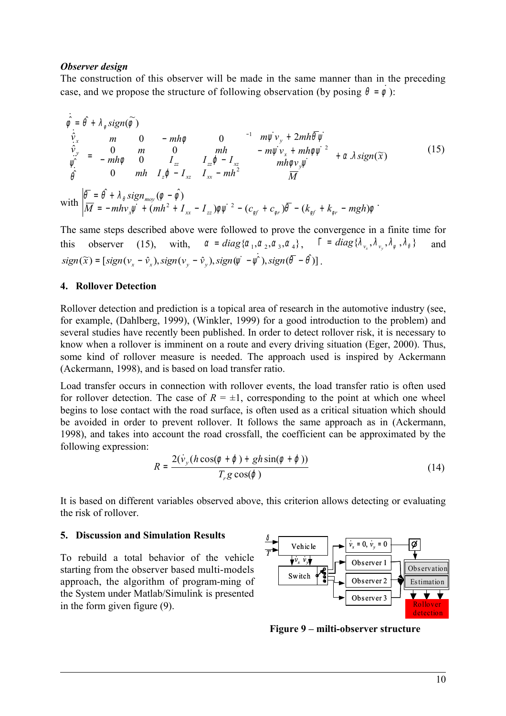# *Observer design*

The construction of this observer will be made in the same manner than in the preceding case, and we propose the structure of following observation (by posing  $\theta = \dot{\phi}$ ):

$$
\begin{cases}\n\dot{\hat{\varphi}} = \hat{\theta} + \lambda_{\phi} sign(\tilde{\phi}) \\
\dot{\hat{\varphi}}_{y} \\
\hat{\psi}_{y} \\
\hat{\varphi} \\
\hat{\theta}\n\end{cases} = \begin{bmatrix}\nm & 0 & -mh\phi & 0 \\
0 & m & 0 & mh \\
-mh\phi & 0 & I_{zz} & I_{zz}\phi - I_{xz} \\
0 & mh & I_{z}\phi - I_{xz} & I_{xx} - mh^{2}\n\end{bmatrix}^{-1} \begin{bmatrix}\nm\psi v_{y} + 2mh\bar{\theta}\psi \\
-m\psi v_{x} + mh\phi\psi^{2} \\
mh\phi v_{y}\psi \\
m h\phi v_{y}\psi\n\end{bmatrix} + \alpha \lambda sign(\tilde{x})
$$
\n
$$
with \begin{bmatrix}\n\bar{\theta} = \hat{\theta} + \lambda_{\theta} sign_{mov}(\phi - \hat{\phi}) \\
\overline{M} = -mhv_{x}\psi + (mh^{2} + I_{xx} - I_{zz})\phi\psi^{2} - (c_{\phi f} + c_{\phi r})\bar{\theta} - (k_{\phi f} + k_{\phi r} - mgh)\phi\n\end{bmatrix}
$$
\n(15)

The same steps described above were followed to prove the convergence in a finite time for this observer (15), with,  $\alpha = diag\{\alpha_1, \alpha_2, \alpha_3, \alpha_4\}$ ,  $\Gamma = diag\{\lambda_{\nu_x}, \lambda_{\nu_y}, \lambda_{\nu_x}, \lambda_{\nu_x}\}$  and  $sign(\widetilde{x}) = [sign(v_x - \hat{v}_x), sign(v_y - \hat{v}_y), sign(\psi - \psi), sign(\bar{\theta} - \theta)]$ .

# **4. Rollover Detection**

Rollover detection and prediction is a topical area of research in the automotive industry (see, for example, (Dahlberg, 1999), (Winkler, 1999) for a good introduction to the problem) and several studies have recently been published. In order to detect rollover risk, it is necessary to know when a rollover is imminent on a route and every driving situation (Eger, 2000). Thus, some kind of rollover measure is needed. The approach used is inspired by Ackermann (Ackermann, 1998), and is based on load transfer ratio.

Load transfer occurs in connection with rollover events, the load transfer ratio is often used for rollover detection. The case of  $R = \pm 1$ , corresponding to the point at which one wheel begins to lose contact with the road surface, is often used as a critical situation which should be avoided in order to prevent rollover. It follows the same approach as in (Ackermann, 1998), and takes into account the road crossfall, the coefficient can be approximated by the following expression:

$$
R = \frac{2(\dot{v}_y(h\cos(\phi + \varphi) + gh\sin(\phi + \varphi)))}{T_r g\cos(\varphi)}
$$
(14)

It is based on different variables observed above, this criterion allows detecting or evaluating the risk of rollover.

## **5. Discussion and Simulation Results**

To rebuild a total behavior of the vehicle starting from the observer based multi-models approach, the algorithm of program-ming of the System under Matlab/Simulink is presented in the form given figure (9).



**Figure 9 – milti-observer structure**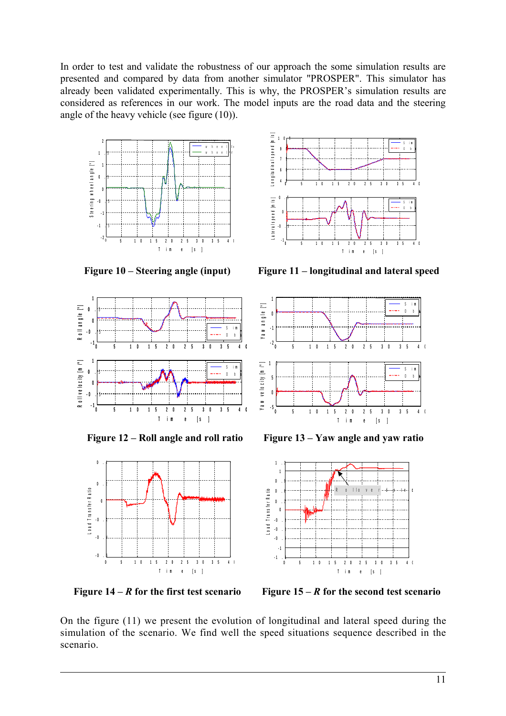In order to test and validate the robustness of our approach the some simulation results are presented and compared by data from another simulator "PROSPER". This simulator has already been validated experimentally. This is why, the PROSPER's simulation results are considered as references in our work. The model inputs are the road data and the steering angle of the heavy vehicle (see figure (10)).









**Figure 10 – Steering angle (input) Figure 11 – longitudinal and lateral speed**



**Figure 12 – Roll angle and roll ratio Figure 13 – Yaw angle and yaw ratio**



**Figure 14 –** *R* **for the first test scenario Figure 15 –** *R* **for the second test scenario**

On the figure (11) we present the evolution of longitudinal and lateral speed during the simulation of the scenario. We find well the speed situations sequence described in the scenario.